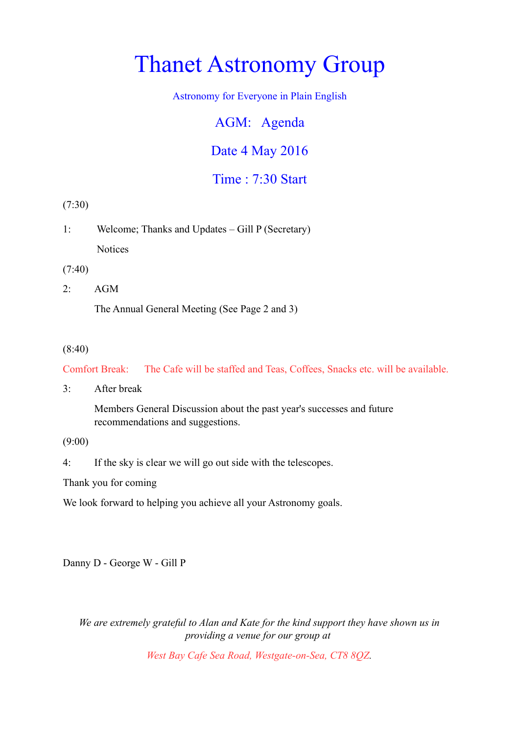# Thanet Astronomy Group

Astronomy for Everyone in Plain English

AGM: Agenda

Date 4 May 2016

Time : 7:30 Start

(7:30)

1: Welcome; Thanks and Updates – Gill P (Secretary) **Notices** 

(7:40)

2: AGM

The Annual General Meeting (See Page 2 and 3)

#### (8:40)

Comfort Break: The Cafe will be staffed and Teas, Coffees, Snacks etc. will be available.

3: After break

Members General Discussion about the past year's successes and future recommendations and suggestions.

(9:00)

4: If the sky is clear we will go out side with the telescopes.

Thank you for coming

We look forward to helping you achieve all your Astronomy goals.

Danny D - George W - Gill P

*We are extremely grateful to Alan and Kate for the kind support they have shown us in providing a venue for our group at* 

*West Bay Cafe Sea Road, Westgate-on-Sea, CT8 8QZ.*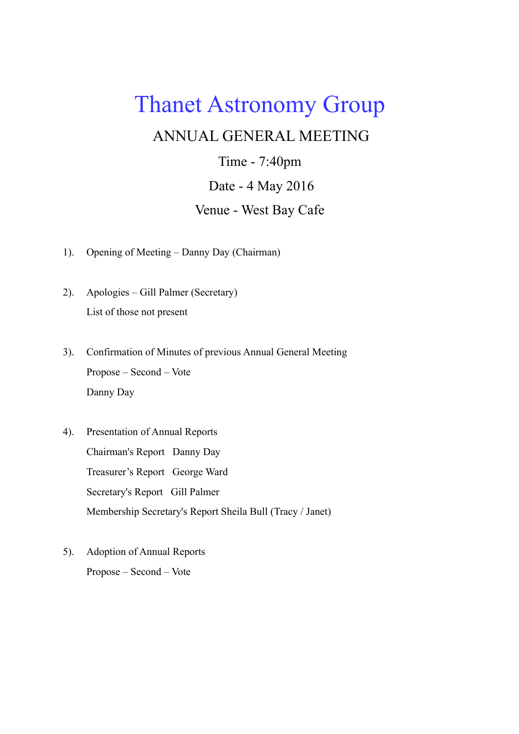# Thanet Astronomy Group

### ANNUAL GENERAL MEETING

Time - 7:40pm Date - 4 May 2016 Venue - West Bay Cafe

- 1). Opening of Meeting Danny Day (Chairman)
- 2). Apologies Gill Palmer (Secretary) List of those not present
- 3). Confirmation of Minutes of previous Annual General Meeting Propose – Second – Vote Danny Day
- 4). Presentation of Annual Reports Chairman's Report Danny Day Treasurer's Report George Ward Secretary's Report Gill Palmer Membership Secretary's Report Sheila Bull (Tracy / Janet)
- 5). Adoption of Annual Reports Propose – Second – Vote